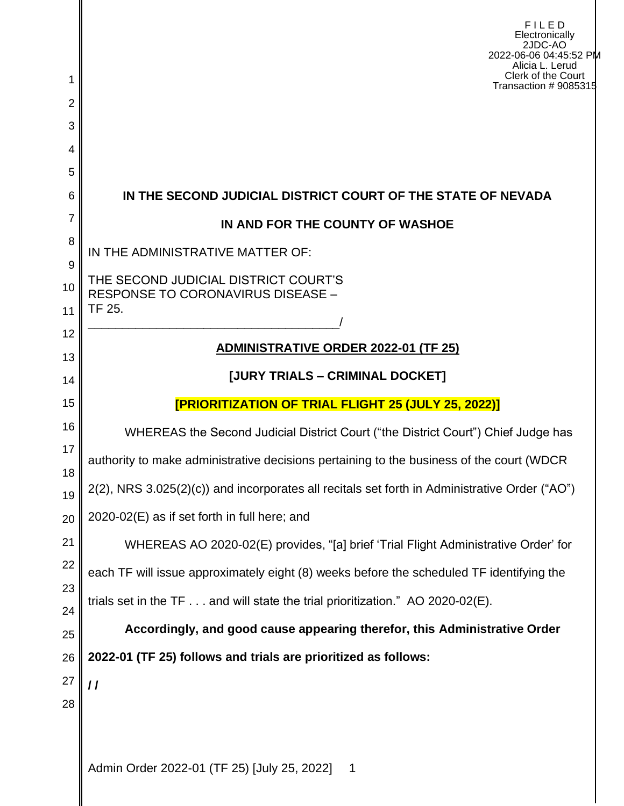| 1        | FILED<br>Electronically<br>2JDC-AO<br>2022-06-06 04:45:52 PM<br>Alicia L. Lerud<br>Clerk of the Court<br>Transaction # 9085315 |
|----------|--------------------------------------------------------------------------------------------------------------------------------|
| 2        |                                                                                                                                |
| 3        |                                                                                                                                |
| 4<br>5   |                                                                                                                                |
| 6        | IN THE SECOND JUDICIAL DISTRICT COURT OF THE STATE OF NEVADA                                                                   |
| 7        | IN AND FOR THE COUNTY OF WASHOE                                                                                                |
| 8        | IN THE ADMINISTRATIVE MATTER OF:                                                                                               |
| 9        | THE SECOND JUDICIAL DISTRICT COURT'S                                                                                           |
| 10       | <b>RESPONSE TO CORONAVIRUS DISEASE -</b><br>TF 25.                                                                             |
| 11<br>12 |                                                                                                                                |
| 13       | <b>ADMINISTRATIVE ORDER 2022-01 (TF 25)</b>                                                                                    |
| 14       | [JURY TRIALS - CRIMINAL DOCKET]                                                                                                |
| 15       | <b>[PRIORITIZATION OF TRIAL FLIGHT 25 (JULY 25, 2022)]</b>                                                                     |
| 16       | WHEREAS the Second Judicial District Court ("the District Court") Chief Judge has                                              |
| 17       | authority to make administrative decisions pertaining to the business of the court (WDCR                                       |
| 18<br>19 | 2(2), NRS 3.025(2)(c)) and incorporates all recitals set forth in Administrative Order ("AO")                                  |
| 20       | 2020-02(E) as if set forth in full here; and                                                                                   |
| 21       | WHEREAS AO 2020-02(E) provides, "[a] brief 'Trial Flight Administrative Order' for                                             |
| 22       | each TF will issue approximately eight (8) weeks before the scheduled TF identifying the                                       |
| 23       | trials set in the $TF \dots$ and will state the trial prioritization." AO 2020-02(E).                                          |
| 24       | Accordingly, and good cause appearing therefor, this Administrative Order                                                      |
| 25<br>26 | 2022-01 (TF 25) follows and trials are prioritized as follows:                                                                 |
| 27       | $\prime$                                                                                                                       |
| 28       |                                                                                                                                |
|          |                                                                                                                                |
|          | Admin Order 2022-01 (TF 25) [July 25, 2022]<br>$\overline{\phantom{a}}$                                                        |